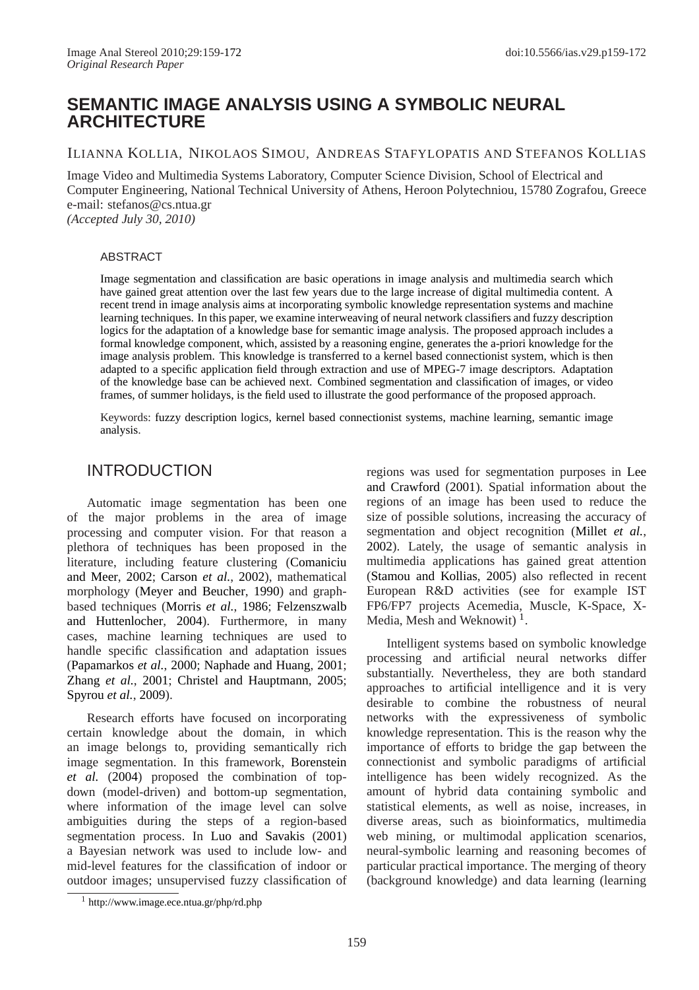# **SEMANTIC IMAGE ANALYSIS USING A SYMBOLIC NEURAL ARCHITECTURE**

ILIANNA KOLLIA, NIKOLAOS SIMOU, ANDREAS STAFYLOPATIS AND STEFANOS KOLLIAS

Image Video and Multimedia Systems Laboratory, Computer Science Division, School of Electrical and Computer Engineering, National Technical University of Athens, Heroon Polytechniou, 15780 Zografou, Greece e-mail: stefanos@cs.ntua.gr

*(Accepted July 30, 2010)*

#### ABSTRACT

Image segmentation and classification are basic operations in image analysis and multimedia search which have gained great attention over the last few years due to the large increase of digital multimedia content. A recent trend in image analysis aims at incorporating symbolic knowledge representation systems and machine learning techniques. In this paper, we examine interweaving of neural network classifiers and fuzzy description logics for the adaptation of a knowledge base for semantic image analysis. The proposed approach includes a formal knowledge component, which, assisted by a reasoning engine, generates the a-priori knowledge for the image analysis problem. This knowledge is transferred to a kernel based connectionist system, which is then adapted to a specific application field through extraction and use of MPEG-7 image descriptors. Adaptation of the knowledge base can be achieved next. Combined segmentation and classification of images, or video frames, of summer holidays, is the field used to illustrate the good performance of the proposed approach.

Keywords: fuzzy description logics, kernel based connectionist systems, machine learning, semantic image analysis.

## INTRODUCTION

Automatic image segmentation has been one of the major problems in the area of image processing and computer vision. For that reason a plethora of techniques has been proposed in the literature, [including feature clustering \(](#page-13-1)Comaniciu and Meer, [2002;](#page-13-1) [Carson](#page-12-0) *et al.*, [2002](#page-12-0)), mathematical morphology [\(Meyer and Beucher,](#page-13-2) [1990\)](#page-13-2) and graphbased techniques [\(Morris](#page-13-3) *et al.*, [1986](#page-13-3); Felzenszwalb and Huttenlocher, [2004](#page-13-4)). Furthermore, in many cases, machine learning techniques are used to handle specific classification and adaptation issues [\(Papamarkos](#page-13-5) *et al.*, [2000;](#page-13-5) [Naphade and Huang](#page-13-6), [2001](#page-13-6); [Zhang](#page-13-7) *et al.*, [2001](#page-13-7); [Christel and Hauptmann,](#page-13-8) [2005](#page-13-8); [Spyrou](#page-13-9) *et al.*, [2009\)](#page-13-9).

Research efforts have focused on incorporating certain knowledge about the domain, in which an image belongs to, providing semantically rich image [segmentation. In this framework,](#page-12-1) Borenstein *et al.* [\(2004](#page-12-1)) proposed the combination of topdown (model-driven) and bottom-up segmentation, where information of the image level can solve ambiguities during the steps of a region-based segmentation process. In [Luo and Savakis](#page-13-10) [\(2001](#page-13-10)) a Bayesian network was used to include low- and mid-level features for the classification of indoor or outdoor images; unsupervised fuzzy classification of regions was [used for segmentation purposes in](#page-13-11) Lee and Crawford [\(2001\)](#page-13-11). Spatial information about the regions of an image has been used to reduce the size of possible solutions, increasing the accuracy of segmentation and object recognition [\(Millet](#page-13-12) *et al.*, [2002](#page-13-12)). Lately, the usage of semantic analysis in multimedia applications has gained great attention [\(Stamou and Kollias](#page-13-13), [2005\)](#page-13-13) also reflected in recent European R&D activities (see for example IST FP6/FP7 projects Acemedia, Muscle, K-Space, X-Media, Mesh and Weknowit)<sup>[1](#page-0-0)</sup>.

Intelligent systems based on symbolic knowledge processing and artificial neural networks differ substantially. Nevertheless, they are both standard approaches to artificial intelligence and it is very desirable to combine the robustness of neural networks with the expressiveness of symbolic knowledge representation. This is the reason why the importance of efforts to bridge the gap between the connectionist and symbolic paradigms of artificial intelligence has been widely recognized. As the amount of hybrid data containing symbolic and statistical elements, as well as noise, increases, in diverse areas, such as bioinformatics, multimedia web mining, or multimodal application scenarios, neural-symbolic learning and reasoning becomes of particular practical importance. The merging of theory (background knowledge) and data learning (learning

<span id="page-0-0"></span><sup>1</sup> <http://www.image.ece.ntua.gr/php/rd.php>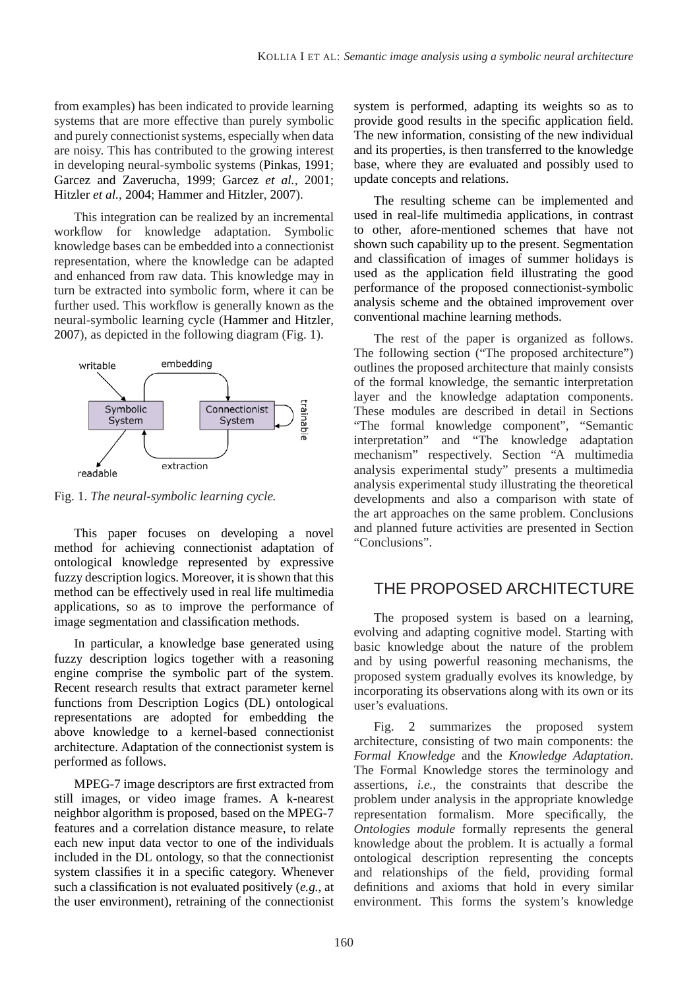from examples) has been indicated to provide learning systems that are more effective than purely symbolic and purely connectionist systems, especially when data are noisy. This has contributed to the growing interest in developing neural-symbolic systems [\(Pinkas,](#page-13-14) [1991](#page-13-14); [Garcez and Zaverucha](#page-13-15), [1999;](#page-13-15) [Garcez](#page-13-16) *et al.*, [2001](#page-13-16); [Hitzler](#page-13-17) *et al.*, [2004;](#page-13-17) [Hammer and Hitzler](#page-13-18), [2007\)](#page-13-18).

This integration can be realized by an incremental workflow for knowledge adaptation. Symbolic knowledge bases can be embedded into a connectionist representation, where the knowledge can be adapted and enhanced from raw data. This knowledge may in turn be extracted into symbolic form, where it can be further used. This workflow is generally known as the neural-symbolic learning cycle [\(Hammer and Hitzler](#page-13-18), [2007](#page-13-18)), as depicted in the following diagram (Fig. [1\)](#page-1-0).



<span id="page-1-0"></span>Fig. 1. *The neural-symbolic learning cycle.*

This paper focuses on developing a novel method for achieving connectionist adaptation of ontological knowledge represented by expressive fuzzy description logics. Moreover, it is shown that this method can be effectively used in real life multimedia applications, so as to improve the performance of image segmentation and classification methods.

In particular, a knowledge base generated using fuzzy description logics together with a reasoning engine comprise the symbolic part of the system. Recent research results that extract parameter kernel functions from Description Logics (DL) ontological representations are adopted for embedding the above knowledge to a kernel-based connectionist architecture. Adaptation of the connectionist system is performed as follows.

MPEG-7 image descriptors are first extracted from still images, or video image frames. A k-nearest neighbor algorithm is proposed, based on the MPEG-7 features and a correlation distance measure, to relate each new input data vector to one of the individuals included in the DL ontology, so that the connectionist system classifies it in a specific category. Whenever such a classification is not evaluated positively (*e.g.*, at the user environment), retraining of the connectionist system is performed, adapting its weights so as to provide good results in the specific application field. The new information, consisting of the new individual and its properties, is then transferred to the knowledge base, where they are evaluated and possibly used to update concepts and relations.

The resulting scheme can be implemented and used in real-life multimedia applications, in contrast to other, afore-mentioned schemes that have not shown such capability up to the present. Segmentation and classification of images of summer holidays is used as the application field illustrating the good performance of the proposed connectionist-symbolic analysis scheme and the obtained improvement over conventional machine learning methods.

The rest of the paper is organized as follows. The following section ("The proposed architecture") outlines the proposed architecture that mainly consists of the formal knowledge, the semantic interpretation layer and the knowledge adaptation components. These modules are described in detail in Sections "The formal knowledge component", "Semantic interpretation" and "The knowledge adaptation mechanism" respectively. Section "A multimedia analysis experimental study" presents a multimedia analysis experimental study illustrating the theoretical developments and also a comparison with state of the art approaches on the same problem. Conclusions and planned future activities are presented in Section "Conclusions".

## THE PROPOSED ARCHITECTURE

The proposed system is based on a learning, evolving and adapting cognitive model. Starting with basic knowledge about the nature of the problem and by using powerful reasoning mechanisms, the proposed system gradually evolves its knowledge, by incorporating its observations along with its own or its user's evaluations.

Fig. [2](#page-2-0) summarizes the proposed system architecture, consisting of two main components: the *Formal Knowledge* and the *Knowledge Adaptation*. The Formal Knowledge stores the terminology and assertions, *i.e.*, the constraints that describe the problem under analysis in the appropriate knowledge representation formalism. More specifically, the *Ontologies module* formally represents the general knowledge about the problem. It is actually a formal ontological description representing the concepts and relationships of the field, providing formal definitions and axioms that hold in every similar environment. This forms the system's knowledge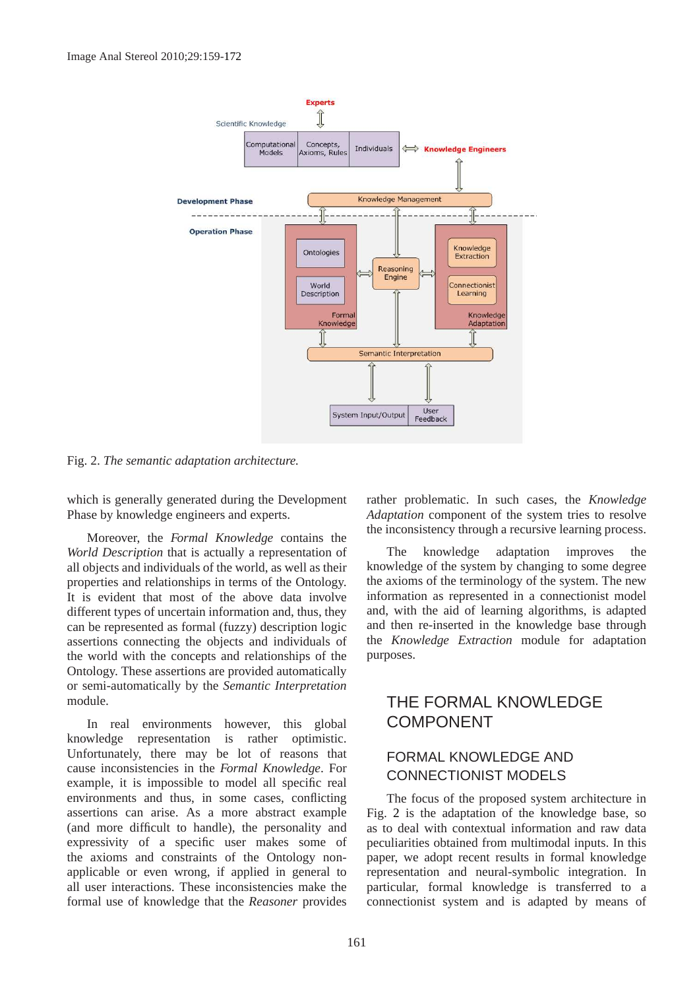

<span id="page-2-0"></span>Fig. 2. *The semantic adaptation architecture.*

which is generally generated during the Development Phase by knowledge engineers and experts.

Moreover, the *Formal Knowledge* contains the *World Description* that is actually a representation of all objects and individuals of the world, as well as their properties and relationships in terms of the Ontology. It is evident that most of the above data involve different types of uncertain information and, thus, they can be represented as formal (fuzzy) description logic assertions connecting the objects and individuals of the world with the concepts and relationships of the Ontology. These assertions are provided automatically or semi-automatically by the *Semantic Interpretation* module.

In real environments however, this global knowledge representation is rather optimistic. Unfortunately, there may be lot of reasons that cause inconsistencies in the *Formal Knowledge*. For example, it is impossible to model all specific real environments and thus, in some cases, conflicting assertions can arise. As a more abstract example (and more difficult to handle), the personality and expressivity of a specific user makes some of the axioms and constraints of the Ontology nonapplicable or even wrong, if applied in general to all user interactions. These inconsistencies make the formal use of knowledge that the *Reasoner* provides rather problematic. In such cases, the *Knowledge Adaptation* component of the system tries to resolve the inconsistency through a recursive learning process.

The knowledge adaptation improves the knowledge of the system by changing to some degree the axioms of the terminology of the system. The new information as represented in a connectionist model and, with the aid of learning algorithms, is adapted and then re-inserted in the knowledge base through the *Knowledge Extraction* module for adaptation purposes.

# THE FORMAL KNOWLEDGE COMPONENT

### FORMAL KNOWLEDGE AND CONNECTIONIST MODELS

The focus of the proposed system architecture in Fig. [2](#page-2-0) is the adaptation of the knowledge base, so as to deal with contextual information and raw data peculiarities obtained from multimodal inputs. In this paper, we adopt recent results in formal knowledge representation and neural-symbolic integration. In particular, formal knowledge is transferred to a connectionist system and is adapted by means of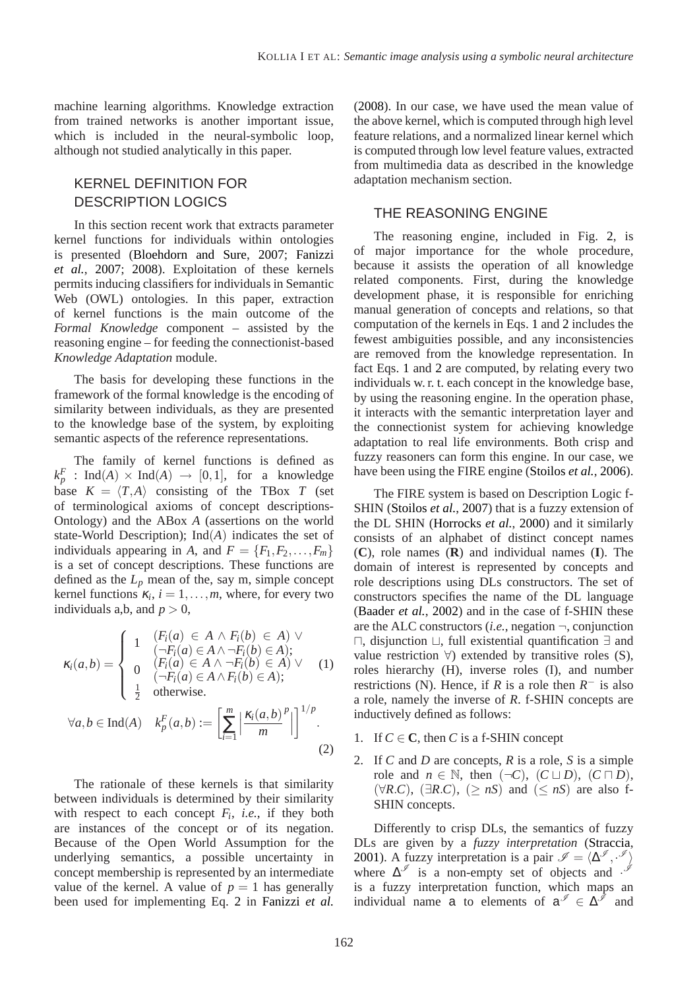machine learning algorithms. Knowledge extraction from trained networks is another important issue, which is included in the neural-symbolic loop, although not studied analytically in this paper.

### KERNEL DEFINITION FOR DESCRIPTION LOGICS

In this section recent work that extracts parameter kernel functions for individuals within ontologies is pr[esented](#page-13-19) [\(Bloehdorn and Sure](#page-12-2)[,](#page-13-19) [2007;](#page-12-2) Fanizzi *et al.*, [2007;](#page-13-19) [2008](#page-13-20)). Exploitation of these kernels permits inducing classifiers for individuals in Semantic Web (OWL) ontologies. In this paper, extraction of kernel functions is the main outcome of the *Formal Knowledge* component – assisted by the reasoning engine – for feeding the connectionist-based *Knowledge Adaptation* module.

The basis for developing these functions in the framework of the formal knowledge is the encoding of similarity between individuals, as they are presented to the knowledge base of the system, by exploiting semantic aspects of the reference representations.

The family of kernel functions is defined as  $k_p^F$  : Ind(*A*) × Ind(*A*) → [0,1], for a knowledge base  $K = \langle T, A \rangle$  consisting of the TBox *T* (set of terminological axioms of concept descriptions-Ontology) and the ABox *A* (assertions on the world state-World Description);  $Ind(A)$  indicates the set of individuals appearing in *A*, and  $F = \{F_1, F_2, \ldots, F_m\}$ is a set of concept descriptions. These functions are defined as the  $L_p$  mean of the, say m, simple concept kernel functions  $\kappa_i$ ,  $i = 1, \ldots, m$ , where, for every two individuals a,b, and  $p > 0$ ,

$$
\kappa_i(a,b) = \begin{cases}\n1 & (F_i(a) \in A \land F_i(b) \in A) \lor \\
0 & (\neg F_i(a) \in A \land \neg F_i(b) \in A); \\
0 & (F_i(a) \in A \land \neg F_i(b) \in A) \lor \\
0 & (\neg F_i(a) \in A \land F_i(b) \in A); \\
\frac{1}{2} & \text{otherwise.} \n\end{cases} \quad (1)
$$
\n
$$
\forall a, b \in \text{Ind}(A) \quad k_p^F(a,b) := \left[\sum_{i=1}^m \left| \frac{\kappa_i(a,b)}{m}^p \right| \right]^{1/p}.
$$

The rationale of these kernels is that similarity between individuals is determined by their similarity with respect to each concept  $F_i$ , *i.e.*, if they both are instances of the concept or of its negation. Because of the Open World Assumption for the underlying semantics, a possible uncertainty in concept membership is represented by an intermediate value of the kernel. A value of  $p = 1$  has generally been used for implementing Eq. [2](#page-3-0) in [Fanizzi](#page-13-20) *et al.*

[\(2008\)](#page-13-20). In our case, we have used the mean value of the above kernel, which is computed through high level feature relations, and a normalized linear kernel which is computed through low level feature values, extracted from multimedia data as described in the knowledge adaptation mechanism section.

#### THE REASONING ENGINE

The reasoning engine, included in Fig. [2,](#page-2-0) is of major importance for the whole procedure, because it assists the operation of all knowledge related components. First, during the knowledge development phase, it is responsible for enriching manual generation of concepts and relations, so that computation of the kernels in Eqs. [1](#page-3-1) and [2](#page-3-0) includes the fewest ambiguities possible, and any inconsistencies are removed from the knowledge representation. In fact Eqs. [1](#page-3-1) and [2](#page-3-0) are computed, by relating every two individuals w. r. t. each concept in the knowledge base, by using the reasoning engine. In the operation phase, it interacts with the semantic interpretation layer and the connectionist system for achieving knowledge adaptation to real life environments. Both crisp and fuzzy reasoners can form this engine. In our case, we have been using the FIRE engine [\(Stoilos](#page-13-21) *et al.*, [2006\)](#page-13-21).

The FIRE system is based on Description Logic f-SHIN [\(Stoilos](#page-13-22) *et al.*, [2007](#page-13-22)) that is a fuzzy extension of the DL SHIN [\(Horrocks](#page-13-23) *et al.*, [2000](#page-13-23)) and it similarly consists of an alphabet of distinct concept names (**C**), role names (**R**) and individual names (**I**). The domain of interest is represented by concepts and role descriptions using DLs constructors. The set of constructors specifies the name of the DL language [\(Baader](#page-12-3) *et al.*, [2002](#page-12-3)) and in the case of f-SHIN these are the ALC constructors (*i.e.*, negation ¬, conjunction ⊓, disjunction ⊔, full existential quantification ∃ and value restriction  $\forall$ ) extended by transitive roles (S), roles hierarchy (H), inverse roles (I), and number restrictions (N). Hence, if *R* is a role then  $R^-$  is also a role, namely the inverse of *R*. f-SHIN concepts are inductively defined as follows:

- 1. If  $C \in \mathbb{C}$ , then *C* is a f-SHIN concept
- 2. If *C* and *D* are concepts, *R* is a role, *S* is a simple role and  $n \in \mathbb{N}$ , then  $(\neg C)$ ,  $(C \sqcup D)$ ,  $(C \sqcap D)$ , ( $\forall R.C$ ), ( $\exists R.C$ ), ( $\ge nS$ ) and ( $\le nS$ ) are also f-SHIN concepts.

Differently to crisp DLs, the semantics of fuzzy DLs are given by a *fuzzy interpretation* [\(Straccia,](#page-13-24) [2001](#page-13-24)). A fuzzy interpretation is a pair  $\mathscr{I} = \langle \Delta^{\mathscr{I}}, \cdot^{\mathscr{I}} \rangle$ where  $\Delta^{\mathscr{I}}$  is a non-empty set of objects and  $\Delta^{\mathscr{I}}$ is a fuzzy interpretation function, which maps an individual name a to elements of  $a^{\mathscr{I}} \in \Delta^{\mathscr{I}}$  and

<span id="page-3-1"></span><span id="page-3-0"></span>(2)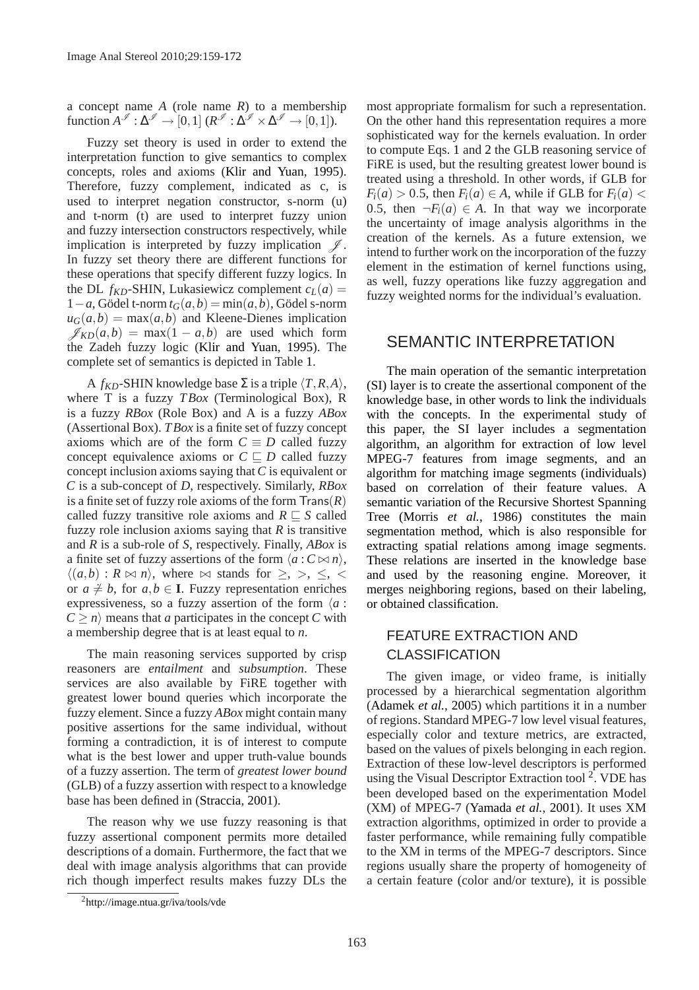a concept name *A* (role name *R*) to a membership function  $A^{\mathscr{I}}: \Delta^{\mathscr{I}} \to [0,1]$   $(R^{\mathscr{I}}: \Delta^{\mathscr{I}} \times \Delta^{\mathscr{I}} \to [0,1])$ .

Fuzzy set theory is used in order to extend the interpretation function to give semantics to complex concepts, roles and axioms [\(Klir and Yuan,](#page-13-25) [1995\)](#page-13-25). Therefore, fuzzy complement, indicated as c, is used to interpret negation constructor, s-norm (u) and t-norm (t) are used to interpret fuzzy union and fuzzy intersection constructors respectively, while implication is interpreted by fuzzy implication  $\mathcal{J}$ . In fuzzy set theory there are different functions for these operations that specify different fuzzy logics. In the DL  $f_{KD}$ -SHIN, Lukasiewicz complement  $c_L(a)$  =  $1-a$ , Gödel t-norm  $t_G(a,b) = min(a,b)$ , Gödel s-norm  $u_G(a,b) = \max(a,b)$  and Kleene-Dienes implication  $\mathscr{J}_{KD}(a,b) = \max(1-a,b)$  are used which form the Zadeh fuzzy logic [\(Klir and Yuan](#page-13-25), [1995](#page-13-25)). The complete set of semantics is depicted in Table [1.](#page-5-0)

A *f<sub>KD</sub>*-SHIN knowledge base  $\Sigma$  is a triple  $\langle T, R, A \rangle$ , where T is a fuzzy *T Box* (Terminological Box), R is a fuzzy *RBox* (Role Box) and A is a fuzzy *ABox* (Assertional Box). *T Box* is a finite set of fuzzy concept axioms which are of the form  $C \equiv D$  called fuzzy concept equivalence axioms or  $C \sqsubseteq D$  called fuzzy concept inclusion axioms saying that*C* is equivalent or *C* is a sub-concept of *D*, respectively. Similarly, *RBox* is a finite set of fuzzy role axioms of the form  $Trans(R)$ called fuzzy transitive role axioms and  $R \subseteq S$  called fuzzy role inclusion axioms saying that *R* is transitive and *R* is a sub-role of *S*, respectively. Finally, *ABox* is a finite set of fuzzy assertions of the form  $\langle a : C \bowtie n \rangle$ ,  $\langle (a,b) : R \bowtie n \rangle$ , where  $\bowtie$  stands for  $\geq, \geq, \leq, \leq$ or  $a \neq b$ , for  $a,b \in I$ . Fuzzy representation enriches expressiveness, so a fuzzy assertion of the form  $\langle a :$  $C \geq n$  means that *a* participates in the concept *C* with a membership degree that is at least equal to *n*.

The main reasoning services supported by crisp reasoners are *entailment* and *subsumption*. These services are also available by FiRE together with greatest lower bound queries which incorporate the fuzzy element. Since a fuzzy *ABox* might contain many positive assertions for the same individual, without forming a contradiction, it is of interest to compute what is the best lower and upper truth-value bounds of a fuzzy assertion. The term of *greatest lower bound* (GLB) of a fuzzy assertion with respect to a knowledge base has been defined in [\(Straccia](#page-13-24), [2001\)](#page-13-24).

The reason why we use fuzzy reasoning is that fuzzy assertional component permits more detailed descriptions of a domain. Furthermore, the fact that we deal with image analysis algorithms that can provide rich though imperfect results makes fuzzy DLs the most appropriate formalism for such a representation. On the other hand this representation requires a more sophisticated way for the kernels evaluation. In order to compute Eqs. [1](#page-3-1) and [2](#page-3-0) the GLB reasoning service of FIRE is used, but the resulting greatest lower bound is treated using a threshold. In other words, if GLB for  $F_i(a) > 0.5$ , then  $F_i(a) \in A$ , while if GLB for  $F_i(a) <$ 0.5, then  $\neg F_i(a) \in A$ . In that way we incorporate the uncertainty of image analysis algorithms in the creation of the kernels. As a future extension, we intend to further work on the incorporation of the fuzzy element in the estimation of kernel functions using, as well, fuzzy operations like fuzzy aggregation and fuzzy weighted norms for the individual's evaluation.

### SEMANTIC INTERPRETATION

The main operation of the semantic interpretation (SI) layer is to create the assertional component of the knowledge base, in other words to link the individuals with the concepts. In the experimental study of this paper, the SI layer includes a segmentation algorithm, an algorithm for extraction of low level MPEG-7 features from image segments, and an algorithm for matching image segments (individuals) based on correlation of their feature values. A semantic variation of the Recursive Shortest Spanning Tree [\(Morris](#page-13-3) *et al.*, [1986\)](#page-13-3) constitutes the main segmentation method, which is also responsible for extracting spatial relations among image segments. These relations are inserted in the knowledge base and used by the reasoning engine. Moreover, it merges neighboring regions, based on their labeling, or obtained classification.

### FEATURE EXTRACTION AND **CLASSIFICATION**

The given image, or video frame, is initially processed by a hierarchical segmentation algorithm [\(Adamek](#page-12-4) *et al.*, [2005](#page-12-4)) which partitions it in a number of regions. Standard MPEG-7 low level visual features, especially color and texture metrics, are extracted, based on the values of pixels belonging in each region. Extraction of these low-level descriptors is performed using the Visual Descriptor Extraction tool  $2^{\degree}$  $2^{\degree}$ . VDE has been developed based on the experimentation Model (XM) of MPEG-7 [\(Yamada](#page-13-26) *et al.*, [2001\)](#page-13-26). It uses XM extraction algorithms, optimized in order to provide a faster performance, while remaining fully compatible to the XM in terms of the MPEG-7 descriptors. Since regions usually share the property of homogeneity of a certain feature (color and/or texture), it is possible

<span id="page-4-0"></span><sup>2</sup><http://image.ntua.gr/iva/tools/vde>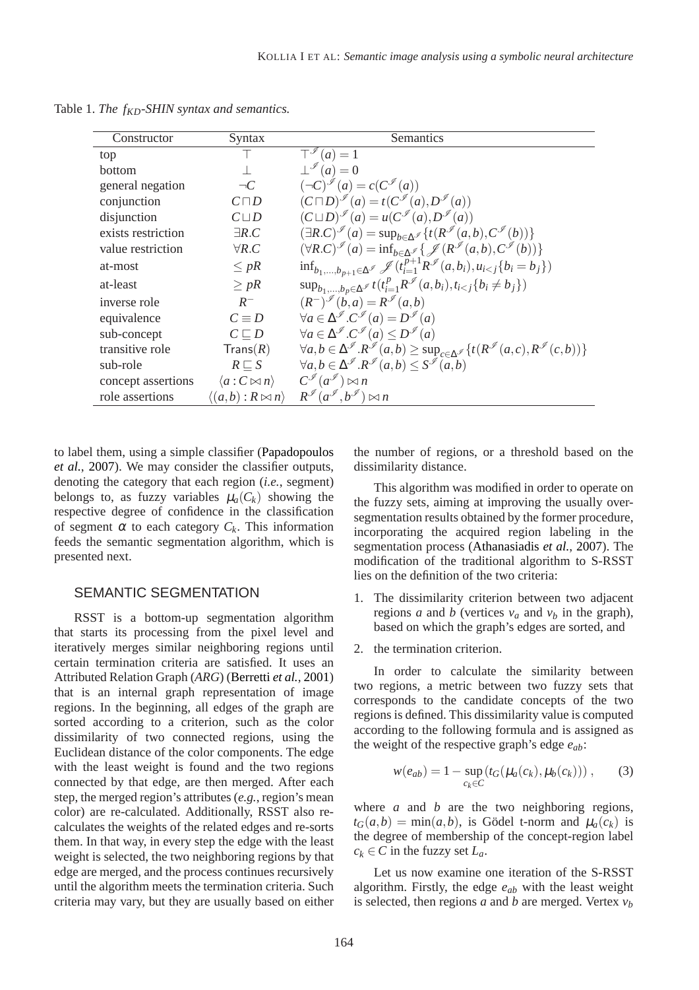| Constructor        | Syntax                               | Semantics                                                                                                                                                    |
|--------------------|--------------------------------------|--------------------------------------------------------------------------------------------------------------------------------------------------------------|
| top                |                                      | $\top^{\mathscr{I}}(a)=1$                                                                                                                                    |
| bottom             |                                      | $\perp^{\mathscr{I}}(a)=0$                                                                                                                                   |
| general negation   | $\neg C$                             | $(\neg C)^{\mathscr{I}}(a) = c(C^{\mathscr{I}}(a))$                                                                                                          |
| conjunction        | $C\Box D$                            | $(C\sqcap D)^{\mathscr{I}}(a) = t(C^{\mathscr{I}}(a), D^{\mathscr{I}}(a))$                                                                                   |
| disjunction        | $C\sqcup D$                          | $(C \sqcup D)^{\mathscr{I}}(a) = u(C^{\mathscr{I}}(a), D^{\mathscr{I}}(a))$                                                                                  |
| exists restriction | $\exists R.C$                        | $(\exists R.C)^{\mathscr{I}}(a) = \sup_{b \in \Lambda^{\mathscr{I}}} \{t(R^{\mathscr{I}}(a,b), C^{\mathscr{I}}(b))\}$                                        |
| value restriction  | $\forall R.C$                        | $(\forall R.C)^{\mathscr{I}}(a) = \inf_{b \in \Lambda^{\mathscr{I}}} {\mathscr{J}}(R^{\mathscr{I}}(a,b), C^{\mathscr{I}}(b))$                                |
| at-most            | $\langle$ pR                         | $\inf_{b_1,,b_{p+1}\in\Delta} \mathcal{J}(t^{p+1}_{i=1}R^{\mathcal{I}}(a,b_i),u_{i$                                                                          |
| at-least           | $\geq pR$                            | $\sup_{b_1,,b_p\in\Delta} f(t_{i=1}^p R^{\mathcal{I}}(a,b_i),t_{i$                                                                                           |
| inverse role       | $R^-$                                | $(R^{-})^{\mathscr{I}}(b,a) = R^{\mathscr{I}}(a,b)$                                                                                                          |
| equivalence        | $C \equiv D$                         | $\forall a \in \Delta^{\mathscr{I}}$ . $C^{\mathscr{I}}(a) = D^{\mathscr{I}}(a)$                                                                             |
| sub-concept        | $C \sqsubset D$                      | $\forall a \in \Delta^{\mathscr{I}}$ . $C^{\mathscr{I}}(a) \leq D^{\mathscr{I}}(a)$                                                                          |
| transitive role    | Trans(R)                             | $\forall a, b \in \Delta^{\mathscr{I}}$ . $R^{\mathscr{I}}(a, b) \geq \sup_{c \in \Delta^{\mathscr{I}}} \{t(R^{\mathscr{I}}(a, c), R^{\mathscr{I}}(c, b))\}$ |
| sub-role           | $R \sqsubseteq S$                    | $\forall a, b \in \Delta^{\mathscr{I}}$ . $R^{\mathscr{I}}(a, b) \leq S^{\mathscr{I}}(a, b)$                                                                 |
| concept assertions | $\langle a : C \bowtie n \rangle$    | $C^{\mathscr{I}}(a^{\mathscr{I}}) \bowtie n$                                                                                                                 |
| role assertions    | $\langle (a,b): R \bowtie n \rangle$ | $R^{\mathscr{I}}(a^{\mathscr{I}},b^{\mathscr{I}}) \bowtie n$                                                                                                 |

<span id="page-5-0"></span>Table 1. *The fKD-SHIN syntax and semantics.*

to la[bel them, using a simple classifier \(](#page-13-27)Papadopoulos *et al.*, [2007](#page-13-27)). We may consider the classifier outputs, denoting the category that each region (*i.e.*, segment) belongs to, as fuzzy variables  $\mu_a(C_k)$  showing the respective degree of confidence in the classification of segment  $\alpha$  to each category  $C_k$ . This information feeds the semantic segmentation algorithm, which is presented next.

#### SEMANTIC SEGMENTATION

RSST is a bottom-up segmentation algorithm that starts its processing from the pixel level and iteratively merges similar neighboring regions until certain termination criteria are satisfied. It uses an Attributed Relation Graph (*ARG*) [\(Berretti](#page-12-5) *et al.*, [2001\)](#page-12-5) that is an internal graph representation of image regions. In the beginning, all edges of the graph are sorted according to a criterion, such as the color dissimilarity of two connected regions, using the Euclidean distance of the color components. The edge with the least weight is found and the two regions connected by that edge, are then merged. After each step, the merged region's attributes (*e.g.*, region's mean color) are re-calculated. Additionally, RSST also recalculates the weights of the related edges and re-sorts them. In that way, in every step the edge with the least weight is selected, the two neighboring regions by that edge are merged, and the process continues recursively until the algorithm meets the termination criteria. Such criteria may vary, but they are usually based on either the number of regions, or a threshold based on the dissimilarity distance.

This algorithm was modified in order to operate on the fuzzy sets, aiming at improving the usually oversegmentation results obtained by the former procedure, incorporating the acquired region labeling in the segmentation process [\(Athanasiadis](#page-12-6) *et al.*, [2007\)](#page-12-6). The modification of the traditional algorithm to S-RSST lies on the definition of the two criteria:

- 1. The dissimilarity criterion between two adjacent regions *a* and *b* (vertices  $v_a$  and  $v_b$  in the graph), based on which the graph's edges are sorted, and
- 2. the termination criterion.

In order to calculate the similarity between two regions, a metric between two fuzzy sets that corresponds to the candidate concepts of the two regions is defined. This dissimilarity value is computed according to the following formula and is assigned as the weight of the respective graph's edge *eab*:

$$
w(e_{ab}) = 1 - \sup_{c_k \in C} (t_G(\mu_a(c_k), \mu_b(c_k))) , \qquad (3)
$$

where *a* and *b* are the two neighboring regions,  $t_G(a,b) = \min(a,b)$ , is Gödel t-norm and  $\mu_a(c_k)$  is the degree of membership of the concept-region label  $c_k \in C$  in the fuzzy set  $L_a$ .

Let us now examine one iteration of the S-RSST algorithm. Firstly, the edge *eab* with the least weight is selected, then regions  $a$  and  $b$  are merged. Vertex  $v_b$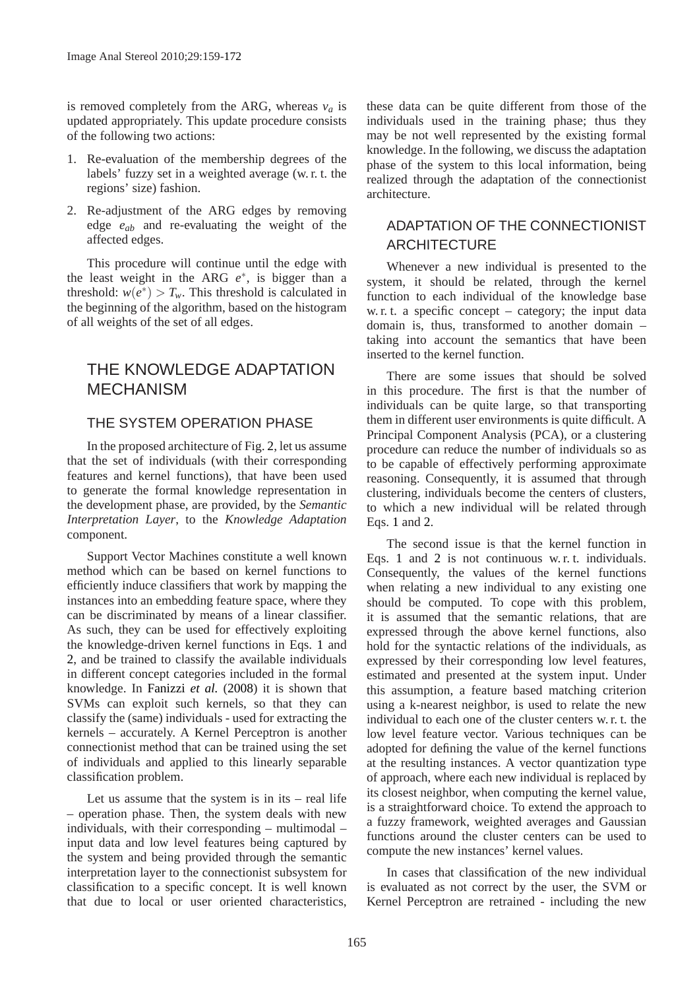is removed completely from the ARG, whereas  $v_a$  is updated appropriately. This update procedure consists of the following two actions:

- 1. Re-evaluation of the membership degrees of the labels' fuzzy set in a weighted average (w. r. t. the regions' size) fashion.
- 2. Re-adjustment of the ARG edges by removing edge *eab* and re-evaluating the weight of the affected edges.

This procedure will continue until the edge with the least weight in the ARG  $e^*$ , is bigger than a threshold:  $w(e^*) > T_w$ . This threshold is calculated in the beginning of the algorithm, based on the histogram of all weights of the set of all edges.

## THE KNOWLEDGE ADAPTATION MECHANISM

#### THE SYSTEM OPERATION PHASE

In the proposed architecture of Fig. [2,](#page-2-0) let us assume that the set of individuals (with their corresponding features and kernel functions), that have been used to generate the formal knowledge representation in the development phase, are provided, by the *Semantic Interpretation Layer*, to the *Knowledge Adaptation* component.

Support Vector Machines constitute a well known method which can be based on kernel functions to efficiently induce classifiers that work by mapping the instances into an embedding feature space, where they can be discriminated by means of a linear classifier. As such, they can be used for effectively exploiting the knowledge-driven kernel functions in Eqs. [1](#page-3-1) and [2,](#page-3-0) and be trained to classify the available individuals in different concept categories included in the formal knowledge. In [Fanizzi](#page-13-20) *et al.* [\(2008\)](#page-13-20) it is shown that SVMs can exploit such kernels, so that they can classify the (same) individuals - used for extracting the kernels – accurately. A Kernel Perceptron is another connectionist method that can be trained using the set of individuals and applied to this linearly separable classification problem.

Let us assume that the system is in its – real life – operation phase. Then, the system deals with new individuals, with their corresponding – multimodal – input data and low level features being captured by the system and being provided through the semantic interpretation layer to the connectionist subsystem for classification to a specific concept. It is well known that due to local or user oriented characteristics, these data can be quite different from those of the individuals used in the training phase; thus they may be not well represented by the existing formal knowledge. In the following, we discuss the adaptation phase of the system to this local information, being realized through the adaptation of the connectionist architecture.

### ADAPTATION OF THE CONNECTIONIST ARCHITECTURE

Whenever a new individual is presented to the system, it should be related, through the kernel function to each individual of the knowledge base w. r. t. a specific concept – category; the input data domain is, thus, transformed to another domain – taking into account the semantics that have been inserted to the kernel function.

There are some issues that should be solved in this procedure. The first is that the number of individuals can be quite large, so that transporting them in different user environments is quite difficult. A Principal Component Analysis (PCA), or a clustering procedure can reduce the number of individuals so as to be capable of effectively performing approximate reasoning. Consequently, it is assumed that through clustering, individuals become the centers of clusters, to which a new individual will be related through Eqs. [1](#page-3-1) and [2.](#page-3-0)

The second issue is that the kernel function in Eqs. [1](#page-3-1) and [2](#page-3-0) is not continuous w.r.t. individuals. Consequently, the values of the kernel functions when relating a new individual to any existing one should be computed. To cope with this problem, it is assumed that the semantic relations, that are expressed through the above kernel functions, also hold for the syntactic relations of the individuals, as expressed by their corresponding low level features, estimated and presented at the system input. Under this assumption, a feature based matching criterion using a k-nearest neighbor, is used to relate the new individual to each one of the cluster centers w. r. t. the low level feature vector. Various techniques can be adopted for defining the value of the kernel functions at the resulting instances. A vector quantization type of approach, where each new individual is replaced by its closest neighbor, when computing the kernel value, is a straightforward choice. To extend the approach to a fuzzy framework, weighted averages and Gaussian functions around the cluster centers can be used to compute the new instances' kernel values.

In cases that classification of the new individual is evaluated as not correct by the user, the SVM or Kernel Perceptron are retrained - including the new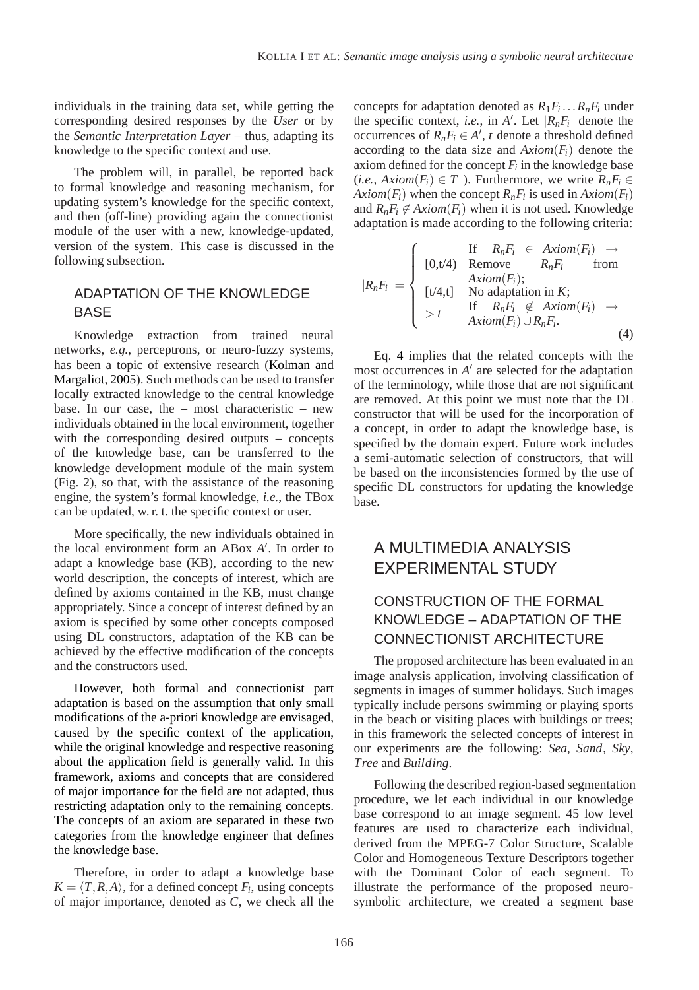individuals in the training data set, while getting the corresponding desired responses by the *User* or by the *Semantic Interpretation Layer* – thus, adapting its knowledge to the specific context and use.

The problem will, in parallel, be reported back to formal knowledge and reasoning mechanism, for updating system's knowledge for the specific context, and then (off-line) providing again the connectionist module of the user with a new, knowledge-updated, version of the system. This case is discussed in the following subsection.

### ADAPTATION OF THE KNOWLEDGE BASE

Knowledge extraction from trained neural networks, *e.g.*, perceptrons, or neuro-fuzzy systems, has been [a topic of extensive research \(](#page-13-28)Kolman and Margaliot, [2005\)](#page-13-28). Such methods can be used to transfer locally extracted knowledge to the central knowledge base. In our case, the – most characteristic – new individuals obtained in the local environment, together with the corresponding desired outputs – concepts of the knowledge base, can be transferred to the knowledge development module of the main system (Fig. [2\)](#page-2-0), so that, with the assistance of the reasoning engine, the system's formal knowledge, *i.e.*, the TBox can be updated, w. r. t. the specific context or user.

More specifically, the new individuals obtained in the local environment form an ABox *A* ′ . In order to adapt a knowledge base (KB), according to the new world description, the concepts of interest, which are defined by axioms contained in the KB, must change appropriately. Since a concept of interest defined by an axiom is specified by some other concepts composed using DL constructors, adaptation of the KB can be achieved by the effective modification of the concepts and the constructors used.

However, both formal and connectionist part adaptation is based on the assumption that only small modifications of the a-priori knowledge are envisaged, caused by the specific context of the application, while the original knowledge and respective reasoning about the application field is generally valid. In this framework, axioms and concepts that are considered of major importance for the field are not adapted, thus restricting adaptation only to the remaining concepts. The concepts of an axiom are separated in these two categories from the knowledge engineer that defines the knowledge base.

Therefore, in order to adapt a knowledge base  $K = \langle T, R, A \rangle$ , for a defined concept *F<sub>i</sub>*, using concepts of major importance, denoted as *C*, we check all the

concepts for adaptation denoted as  $R_1F_i \ldots R_nF_i$  under the specific context, *i.e.*, in *A'*. Let  $|R_nF_i|$  denote the occurrences of  $R_nF_i \in A'$ , *t* denote a threshold defined according to the data size and  $Axiom(F_i)$  denote the axiom defined for the concept  $F_i$  in the knowledge base  $(i.e., Axiom(F_i) \in T)$ . Furthermore, we write  $R_nF_i \in$ *Axiom*( $F_i$ ) when the concept  $R_n F_i$  is used in  $Axiom(F_i)$ and  $R_nF_i \notin Axiom(F_i)$  when it is not used. Knowledge adaptation is made according to the following criteria:

<span id="page-7-0"></span>
$$
|R_nF_i| = \begin{cases} \n\text{If} & R_nF_i \in \text{Axiom}(F_i) \rightarrow \\ \n\text{Remove} & R_nF_i \quad \text{from} \\ \n\text{Axiom}(F_i); \\ \n\text{No adaptation in } K; \\ \n\geq t & \text{Axiom}(F_i) \cup R_nF_i. \n\end{cases} \tag{4}
$$

Eq. [4](#page-7-0) implies that the related concepts with the most occurrences in *A* ′ are selected for the adaptation of the terminology, while those that are not significant are removed. At this point we must note that the DL constructor that will be used for the incorporation of a concept, in order to adapt the knowledge base, is specified by the domain expert. Future work includes a semi-automatic selection of constructors, that will be based on the inconsistencies formed by the use of specific DL constructors for updating the knowledge base.

## A MULTIMEDIA ANALYSIS EXPERIMENTAL STUDY

### CONSTRUCTION OF THE FORMAL KNOWLEDGE – ADAPTATION OF THE CONNECTIONIST ARCHITECTURE

The proposed architecture has been evaluated in an image analysis application, involving classification of segments in images of summer holidays. Such images typically include persons swimming or playing sports in the beach or visiting places with buildings or trees; in this framework the selected concepts of interest in our experiments are the following: *Sea*, *Sand*, *Sky*, *Tree* and *Building*.

Following the described region-based segmentation procedure, we let each individual in our knowledge base correspond to an image segment. 45 low level features are used to characterize each individual, derived from the MPEG-7 Color Structure, Scalable Color and Homogeneous Texture Descriptors together with the Dominant Color of each segment. To illustrate the performance of the proposed neurosymbolic architecture, we created a segment base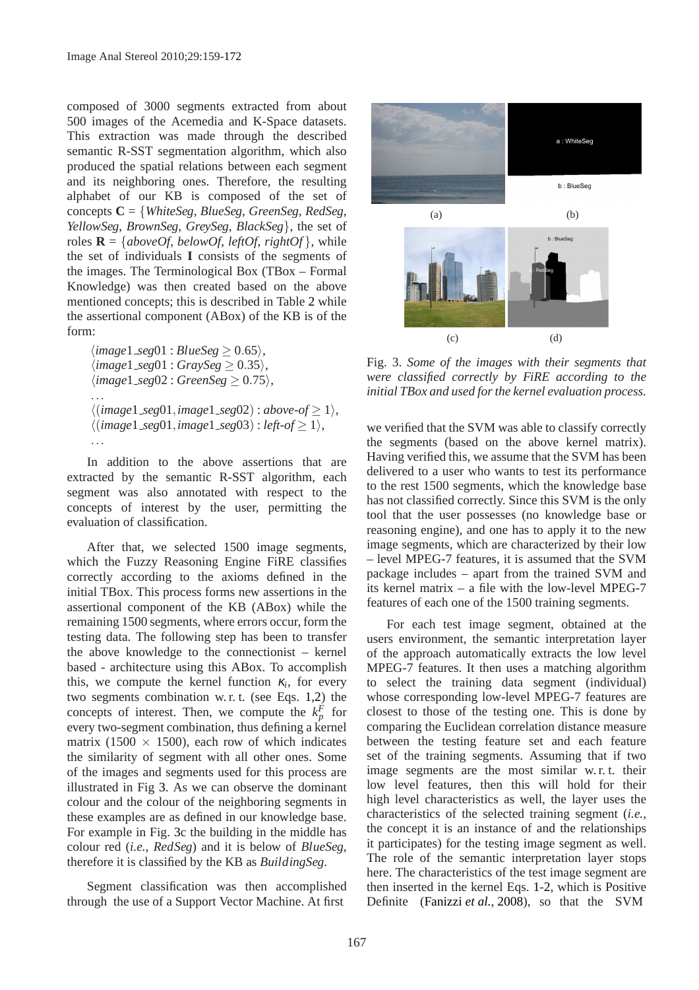composed of 3000 segments extracted from about 500 images of the Acemedia and K-Space datasets. This extraction was made through the described semantic R-SST segmentation algorithm, which also produced the spatial relations between each segment and its neighboring ones. Therefore, the resulting alphabet of our KB is composed of the set of concepts **C** = {*WhiteSeg*, *BlueSeg*, *GreenSeg*, *RedSeg*, *YellowSeg*, *BrownSeg*, *GreySeg*, *BlackSeg*}, the set of roles  $\mathbf{R} = \{aboveOf, belowOf, leftOf, rightOf\}$ , while the set of individuals **I** consists of the segments of the images. The Terminological Box (TBox – Formal Knowledge) was then created based on the above mentioned concepts; this is described in Table [2](#page-10-0) while the assertional component (ABox) of the KB is of the form:

 $\langle image1\_seg01 : BlueSeg \geq 0.65 \rangle$ ,  $\langle image1\_seg01 : GraySeg \geq 0.35 \rangle$ ,  $\langle image1 \_seg02 : GreenSeg \geq 0.75 \rangle,$ ...  $\langle$ (*image*1\_seg01,*image*1\_seg02): *above-of*  $\geq$  1), h(*image*1 *seg*01,*image*1 *seg*03) : *left-of* ≥ 1i, ...

In addition to the above assertions that are extracted by the semantic R-SST algorithm, each segment was also annotated with respect to the concepts of interest by the user, permitting the evaluation of classification.

After that, we selected 1500 image segments, which the Fuzzy Reasoning Engine FiRE classifies correctly according to the axioms defined in the initial TBox. This process forms new assertions in the assertional component of the KB (ABox) while the remaining 1500 segments, where errors occur, form the testing data. The following step has been to transfer the above knowledge to the connectionist – kernel based - architecture using this ABox. To accomplish this, we compute the kernel function  $\kappa_i$ , for every two segments combination w. r. t. (see Eqs. [1](#page-3-1)[,2\)](#page-3-0) the concepts of interest. Then, we compute the  $k_p^F$  for every two-segment combination, thus defining a kernel matrix (1500  $\times$  1500), each row of which indicates the similarity of segment with all other ones. Some of the images and segments used for this process are illustrated in Fig [3.](#page-8-0) As we can observe the dominant colour and the colour of the neighboring segments in these examples are as defined in our knowledge base. For example in Fig. [3c](#page-8-0) the building in the middle has colour red (*i.e.*, *RedSeg*) and it is below of *BlueSeg*, therefore it is classified by the KB as *BuildingSeg*.

Segment classification was then accomplished through the use of a Support Vector Machine. At first



Fig. 3. *Some of the images with their segments that were classified correctly by FiRE according to the initial TBox and used for the kernel evaluation process.*

<span id="page-8-0"></span>we verified that the SVM was able to classify correctly the segments (based on the above kernel matrix). Having verified this, we assume that the SVM has been delivered to a user who wants to test its performance to the rest 1500 segments, which the knowledge base has not classified correctly. Since this SVM is the only tool that the user possesses (no knowledge base or reasoning engine), and one has to apply it to the new image segments, which are characterized by their low – level MPEG-7 features, it is assumed that the SVM package includes – apart from the trained SVM and its kernel matrix – a file with the low-level MPEG-7 features of each one of the 1500 training segments.

For each test image segment, obtained at the users environment, the semantic interpretation layer of the approach automatically extracts the low level MPEG-7 features. It then uses a matching algorithm to select the training data segment (individual) whose corresponding low-level MPEG-7 features are closest to those of the testing one. This is done by comparing the Euclidean correlation distance measure between the testing feature set and each feature set of the training segments. Assuming that if two image segments are the most similar w. r. t. their low level features, then this will hold for their high level characteristics as well, the layer uses the characteristics of the selected training segment (*i.e.*, the concept it is an instance of and the relationships it participates) for the testing image segment as well. The role of the semantic interpretation layer stops here. The characteristics of the test image segment are then inserted in the kernel Eqs. [1](#page-3-1)[-2,](#page-3-0) which is Positive Definite [\(Fanizzi](#page-13-20) *et al.*, [2008](#page-13-20)), so that the SVM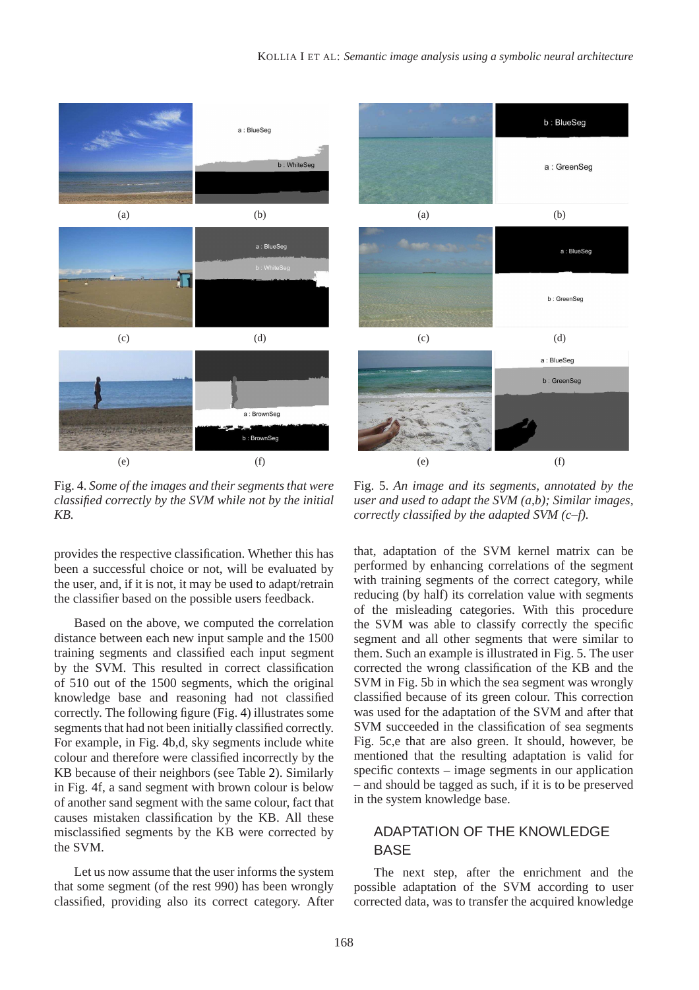



Fig. 4. *Some of the images and their segments that were classified correctly by the SVM while not by the initial KB.*

<span id="page-9-0"></span>provides the respective classification. Whether this has been a successful choice or not, will be evaluated by the user, and, if it is not, it may be used to adapt/retrain the classifier based on the possible users feedback.

Based on the above, we computed the correlation distance between each new input sample and the 1500 training segments and classified each input segment by the SVM. This resulted in correct classification of 510 out of the 1500 segments, which the original knowledge base and reasoning had not classified correctly. The following figure (Fig. [4\)](#page-9-0) illustrates some segments that had not been initially classified correctly. For example, in Fig. [4b](#page-9-0),d, sky segments include white colour and therefore were classified incorrectly by the KB because of their neighbors (see Table [2\)](#page-10-0). Similarly in Fig. [4f](#page-9-0), a sand segment with brown colour is below of another sand segment with the same colour, fact that causes mistaken classification by the KB. All these misclassified segments by the KB were corrected by the SVM.

Let us now assume that the user informs the system that some segment (of the rest 990) has been wrongly classified, providing also its correct category. After

<span id="page-9-1"></span>Fig. 5. *An image and its segments, annotated by the user and used to adapt the SVM (a,b); Similar images, correctly classified by the adapted SVM (c–f).*

that, adaptation of the SVM kernel matrix can be performed by enhancing correlations of the segment with training segments of the correct category, while reducing (by half) its correlation value with segments of the misleading categories. With this procedure the SVM was able to classify correctly the specific segment and all other segments that were similar to them. Such an example is illustrated in Fig. [5.](#page-9-1) The user corrected the wrong classification of the KB and the SVM in Fig. [5b](#page-9-1) in which the sea segment was wrongly classified because of its green colour. This correction was used for the adaptation of the SVM and after that SVM succeeded in the classification of sea segments Fig. [5c](#page-9-1),e that are also green. It should, however, be mentioned that the resulting adaptation is valid for specific contexts – image segments in our application – and should be tagged as such, if it is to be preserved in the system knowledge base.

### ADAPTATION OF THE KNOWLEDGE BASE

The next step, after the enrichment and the possible adaptation of the SVM according to user corrected data, was to transfer the acquired knowledge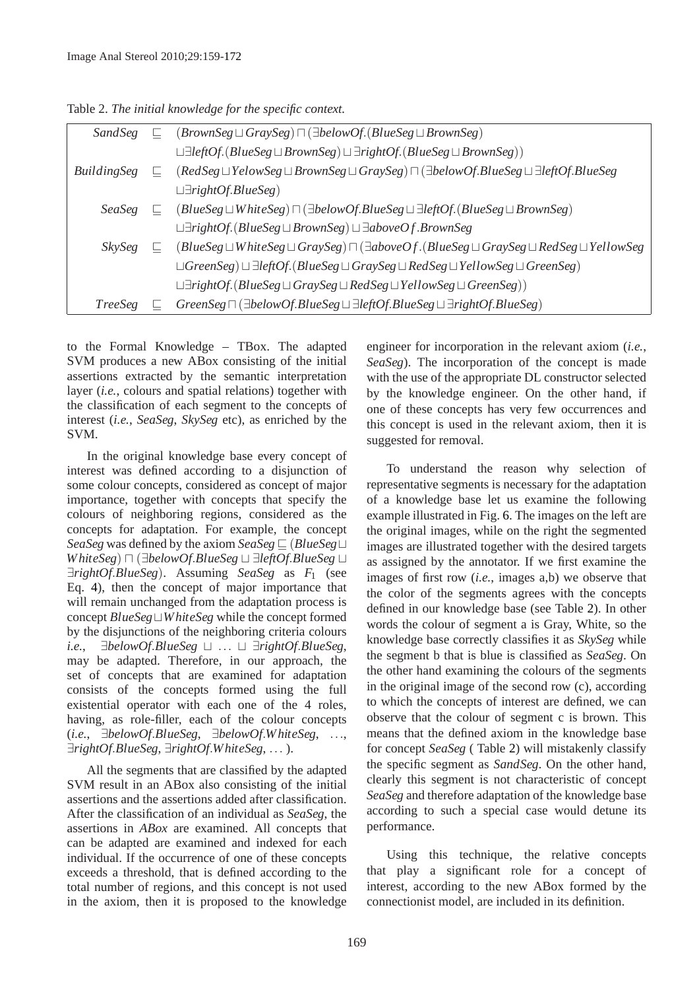Table 2. *The initial knowledge for the specific context.*

<span id="page-10-0"></span>

| <b>SandSeg</b> | こー | $(BrownSeg \sqcup GraySeg) \sqcap (\exists belowOf.(BlueSeg \sqcup BrownSeg)$                                                                          |
|----------------|----|--------------------------------------------------------------------------------------------------------------------------------------------------------|
|                |    | $\Box \exists leftOf.(BlueSeg \sqcup BrownSeg) \sqcup \exists rightOf.(BlueSeg \sqcup BrownSeg))$                                                      |
| BuildingSeg    |    | $(RedSeg \sqcup YellowSeg \sqcup BrownSeg \sqcup GraySeg) \sqcap (\exists belowOf.BlueSeg \sqcup \exists leftOf.BlueSeg$                               |
|                |    | $\Box$ FrightOf.BlueSeg)                                                                                                                               |
| SeaSeg         |    | $\subseteq$ (BlueSeg $\sqcup$ WhiteSeg) $\sqcap$ ( $\exists$ belowOf.BlueSeg $\sqcup$ $\exists$ leftOf.(BlueSeg $\sqcup$ BrownSeg)                     |
|                |    | $\Box$ FrightOf.(BlueSeg $\Box$ BrownSeg) $\Box$ $\exists aboveOf.BrownSeg$                                                                            |
| SkySeg         |    | $(BlueSeg \sqcup WhiteSeg \sqcup GraySeg) \sqcap (\exists aboveOf.(BlueSeg \sqcup GraySeg \sqcup RedSeg \sqcup YellowSeg$                              |
|                |    | $\Box GreenSeg) \sqcup \exists leftOf.(BlueSeg \sqcup GraySeg \sqcup RedSeg \sqcup YellowSeg \sqcup GreenSeg)$                                         |
|                |    | $\Box \exists right \textit{Of}.(\textit{BlueSeg} \sqcup \textit{GraySeg} \sqcup \textit{RedSeg} \sqcup \textit{YellowSeg} \sqcup \textit{GreenSeg}))$ |
| <i>TreeSeg</i> |    | $GreenSeg \sqcap (\exists belowOf.BlueSeg \sqcup \exists leftOf.BlueSeg \sqcup \exists rightOf.BlueSeg)$                                               |

to the Formal Knowledge – TBox. The adapted SVM produces a new ABox consisting of the initial assertions extracted by the semantic interpretation layer (*i.e.*, colours and spatial relations) together with the classification of each segment to the concepts of interest (*i.e.*, *SeaSeg*, *SkySeg* etc), as enriched by the SVM.

In the original knowledge base every concept of interest was defined according to a disjunction of some colour concepts, considered as concept of major importance, together with concepts that specify the colours of neighboring regions, considered as the concepts for adaptation. For example, the concept *SeaSeg* was defined by the axiom *SeaSeg* ⊑ (*BlueSeg*⊔ *WhiteSeg*) ⊓ (∃*belowOf*.*BlueSeg* ⊔ ∃*leftOf*.*BlueSeg* ⊔ ∃*rightOf*.*BlueSeg*). Assuming *SeaSeg* as *F*<sup>1</sup> (see Eq. [4\)](#page-7-0), then the concept of major importance that will remain unchanged from the adaptation process is concept *BlueSeg*⊔*WhiteSeg* while the concept formed by the disjunctions of the neighboring criteria colours *i.e.*, ∃*belowOf*.*BlueSeg* ⊔ ... ⊔ ∃*rightOf*.*BlueSeg*, may be adapted. Therefore, in our approach, the set of concepts that are examined for adaptation consists of the concepts formed using the full existential operator with each one of the 4 roles, having, as role-filler, each of the colour concepts (*i.e.*, ∃*belowOf*.*BlueSeg*, ∃*belowOf*.*WhiteSeg*, ..., ∃*rightOf*.*BlueSeg*, ∃*rightOf*.*WhiteSeg*, ... ).

All the segments that are classified by the adapted SVM result in an ABox also consisting of the initial assertions and the assertions added after classification. After the classification of an individual as *SeaSeg*, the assertions in *ABox* are examined. All concepts that can be adapted are examined and indexed for each individual. If the occurrence of one of these concepts exceeds a threshold, that is defined according to the total number of regions, and this concept is not used in the axiom, then it is proposed to the knowledge engineer for incorporation in the relevant axiom (*i.e.*, *SeaSeg*). The incorporation of the concept is made with the use of the appropriate DL constructor selected by the knowledge engineer. On the other hand, if one of these concepts has very few occurrences and this concept is used in the relevant axiom, then it is suggested for removal.

To understand the reason why selection of representative segments is necessary for the adaptation of a knowledge base let us examine the following example illustrated in Fig. [6.](#page-11-0) The images on the left are the original images, while on the right the segmented images are illustrated together with the desired targets as assigned by the annotator. If we first examine the images of first row (*i.e.*, images a,b) we observe that the color of the segments agrees with the concepts defined in our knowledge base (see Table [2\)](#page-10-0). In other words the colour of segment a is Gray, White, so the knowledge base correctly classifies it as *SkySeg* while the segment b that is blue is classified as *SeaSeg*. On the other hand examining the colours of the segments in the original image of the second row (c), according to which the concepts of interest are defined, we can observe that the colour of segment c is brown. This means that the defined axiom in the knowledge base for concept *SeaSeg* ( Table [2\)](#page-10-0) will mistakenly classify the specific segment as *SandSeg*. On the other hand, clearly this segment is not characteristic of concept *SeaSeg* and therefore adaptation of the knowledge base according to such a special case would detune its performance.

Using this technique, the relative concepts that play a significant role for a concept of interest, according to the new ABox formed by the connectionist model, are included in its definition.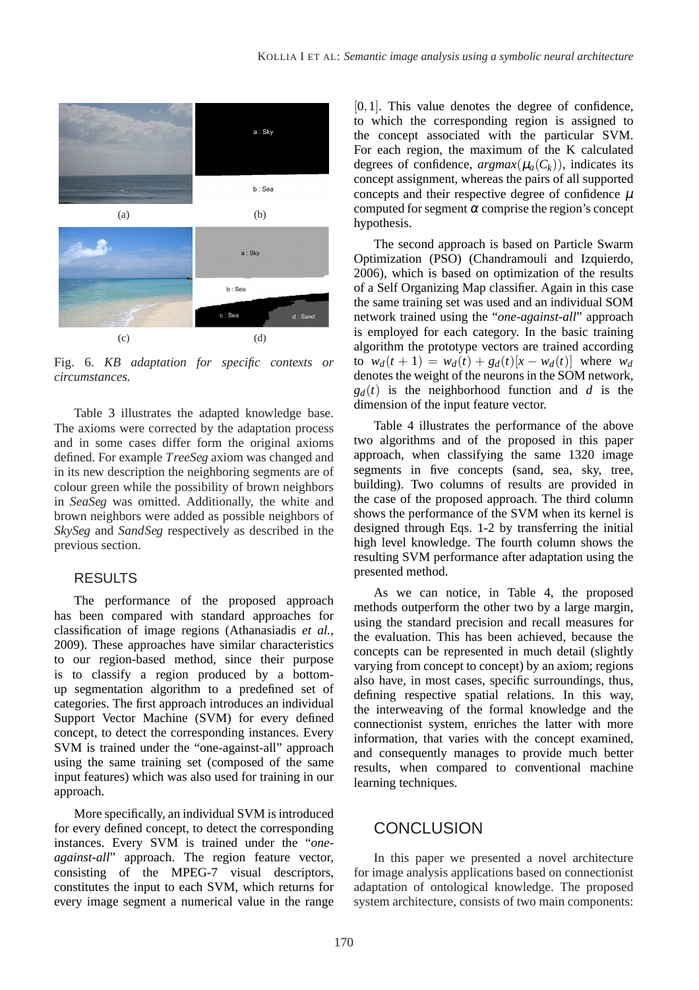

<span id="page-11-0"></span>Fig. 6. *KB adaptation for specific contexts or circumstances.*

Table [3](#page-12-7) illustrates the adapted knowledge base. The axioms were corrected by the adaptation process and in some cases differ form the original axioms defined. For example *TreeSeg* axiom was changed and in its new description the neighboring segments are of colour green while the possibility of brown neighbors in *SeaSeg* was omitted. Additionally, the white and brown neighbors were added as possible neighbors of *SkySeg* and *SandSeg* respectively as described in the previous section.

#### **RESULTS**

The performance of the proposed approach has been compared with standard approaches for classification of image regions [\(Athanasiadis](#page-12-8) *et al.*, [2009](#page-12-8)). These approaches have similar characteristics to our region-based method, since their purpose is to classify a region produced by a bottomup segmentation algorithm to a predefined set of categories. The first approach introduces an individual Support Vector Machine (SVM) for every defined concept, to detect the corresponding instances. Every SVM is trained under the "one-against-all" approach using the same training set (composed of the same input features) which was also used for training in our approach.

More specifically, an individual SVM is introduced for every defined concept, to detect the corresponding instances. Every SVM is trained under the "*oneagainst-all*" approach. The region feature vector, consisting of the MPEG-7 visual descriptors, constitutes the input to each SVM, which returns for every image segment a numerical value in the range

[0,1]. This value denotes the degree of confidence, to which the corresponding region is assigned to the concept associated with the particular SVM. For each region, the maximum of the K calculated degrees of confidence,  $argmax(\mu_a(C_k))$ , indicates its concept assignment, whereas the pairs of all supported concepts and their respective degree of confidence  $\mu$ computed for segment  $\alpha$  comprise the region's concept hypothesis.

The second approach is based on Particle Swarm Optimization (PSO) [\(Chandramouli and Izquierdo,](#page-13-29) [2006](#page-13-29)), which is based on optimization of the results of a Self Organizing Map classifier. Again in this case the same training set was used and an individual SOM network trained using the "*one-against-all*" approach is employed for each category. In the basic training algorithm the prototype vectors are trained according to  $w_d(t + 1) = w_d(t) + g_d(t)[x - w_d(t)]$  where  $w_d$ denotes the weight of the neurons in the SOM network,  $g_d(t)$  is the neighborhood function and *d* is the dimension of the input feature vector.

Table [4](#page-12-9) illustrates the performance of the above two algorithms and of the proposed in this paper approach, when classifying the same 1320 image segments in five concepts (sand, sea, sky, tree, building). Two columns of results are provided in the case of the proposed approach. The third column shows the performance of the SVM when its kernel is designed through Eqs. [1](#page-3-1)[-2](#page-3-0) by transferring the initial high level knowledge. The fourth column shows the resulting SVM performance after adaptation using the presented method.

As we can notice, in Table [4,](#page-12-9) the proposed methods outperform the other two by a large margin, using the standard precision and recall measures for the evaluation. This has been achieved, because the concepts can be represented in much detail (slightly varying from concept to concept) by an axiom; regions also have, in most cases, specific surroundings, thus, defining respective spatial relations. In this way, the interweaving of the formal knowledge and the connectionist system, enriches the latter with more information, that varies with the concept examined, and consequently manages to provide much better results, when compared to conventional machine learning techniques.

### **CONCLUSION**

In this paper we presented a novel architecture for image analysis applications based on connectionist adaptation of ontological knowledge. The proposed system architecture, consists of two main components: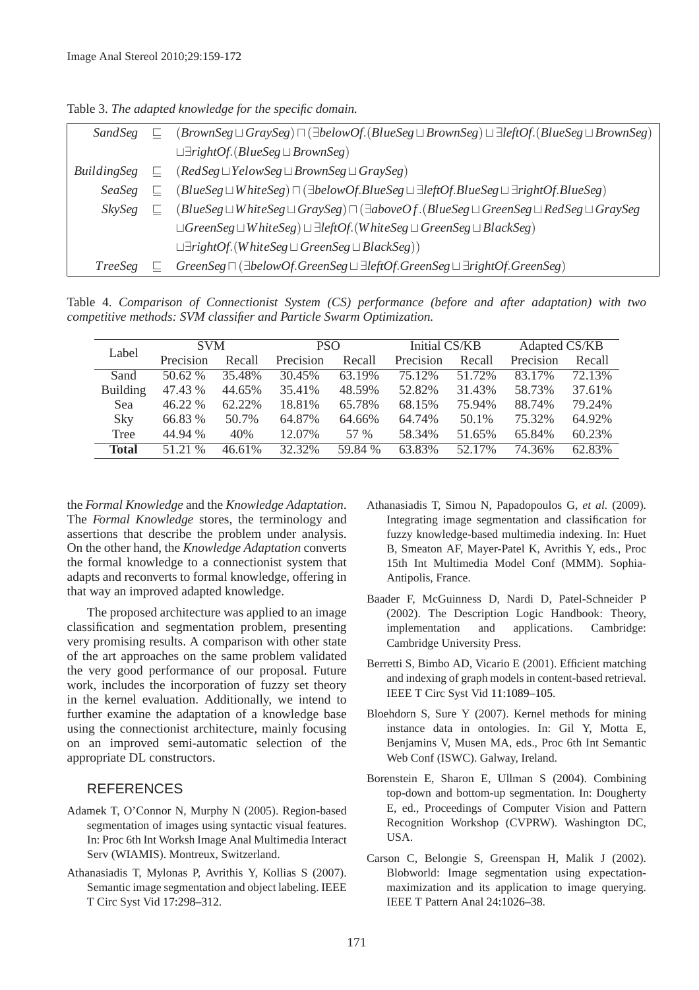<span id="page-12-7"></span>

|  | Table 3. The adapted knowledge for the specific domain. |  |  |  |  |  |
|--|---------------------------------------------------------|--|--|--|--|--|
|--|---------------------------------------------------------|--|--|--|--|--|

| <i>SandSeg</i> |   | $\subseteq$ $(BrownSeg \sqcup GraySeg) \sqcap (\exists belowOf.(BlueSeg \sqcup BrownSeg) \sqcup \exists leftOf.(BlueSeg \sqcup BrownSeg)$      |
|----------------|---|------------------------------------------------------------------------------------------------------------------------------------------------|
|                |   | $\Box$ FrightOf.(BlueSeg $\Box$ BrownSeg)                                                                                                      |
| BuildingSeg    |   | $\Box$ (RedSeg $\Box$ YelowSeg $\Box$ BrownSeg $\Box$ GraySeg)                                                                                 |
| <i>SeaSeg</i>  |   | $\subseteq$ (BlueSeg $\sqcup$ WhiteSeg) $\sqcap$ ( $\exists$ belowOf.BlueSeg $\sqcup \exists$ leftOf.BlueSeg $\sqcup \exists$ rightOf.BlueSeg) |
| <i>SkySeg</i>  |   | $(BlueSeg \sqcup WhiteSeg \sqcup GraySeg) \sqcap (\exists aboveOf.(BlueSeg \sqcup GreenSeg \sqcup RedSeg \sqcup GraySeg)$                      |
|                |   | $\Box GreenSeg \sqcup WhiteSeg) \sqcup \exists leftOf.(WhiteSeg \sqcup GreenSeg \sqcup BlackSeg)$                                              |
|                |   | $\Box$ FightOf.(WhiteSeg $\Box$ GreenSeg $\Box$ BlackSeg))                                                                                     |
| <i>TreeSeg</i> | ┕ | $GreenSeg \sqcap ( \exists belowOf.GreenSeg \sqcup \exists leftOf.GreenSeg \sqcup \exists rightOf.GreenSeg )$                                  |

<span id="page-12-9"></span>Table 4. *Comparison of Connectionist System (CS) performance (before and after adaptation) with two competitive methods: SVM classifier and Particle Swarm Optimization.*

| Label           | <b>SVM</b> |        | PSO <sub>1</sub> |         | Initial CS/KB |        | Adapted CS/KB |        |
|-----------------|------------|--------|------------------|---------|---------------|--------|---------------|--------|
|                 | Precision  | Recall | Precision        | Recall  | Precision     | Recall | Precision     | Recall |
| Sand            | 50.62 %    | 35.48% | 30.45%           | 63.19%  | 75.12%        | 51.72% | 83.17%        | 72.13% |
| <b>Building</b> | 47.43 %    | 44.65% | 35.41%           | 48.59%  | 52.82%        | 31.43% | 58.73%        | 37.61% |
| Sea             | $46.22\%$  | 62.22% | 18.81%           | 65.78%  | 68.15%        | 75.94% | 88.74%        | 79.24% |
| Sky             | 66.83 %    | 50.7%  | 64.87%           | 64.66%  | 64.74%        | 50.1%  | 75.32%        | 64.92% |
| Tree            | 44.94 %    | 40%    | 12.07%           | 57 %    | 58.34%        | 51.65% | 65.84%        | 60.23% |
| <b>Total</b>    | 51.21 %    | 46.61% | 32.32%           | 59.84 % | 63.83%        | 52.17% | 74.36%        | 62.83% |

the *Formal Knowledge* and the *Knowledge Adaptation*. The *Formal Knowledge* stores, the terminology and assertions that describe the problem under analysis. On the other hand, the *Knowledge Adaptation* converts the formal knowledge to a connectionist system that adapts and reconverts to formal knowledge, offering in that way an improved adapted knowledge.

The proposed architecture was applied to an image classification and segmentation problem, presenting very promising results. A comparison with other state of the art approaches on the same problem validated the very good performance of our proposal. Future work, includes the incorporation of fuzzy set theory in the kernel evaluation. Additionally, we intend to further examine the adaptation of a knowledge base using the connectionist architecture, mainly focusing on an improved semi-automatic selection of the appropriate DL constructors.

#### REFERENCES

- <span id="page-12-4"></span>Adamek T, O'Connor N, Murphy N (2005). Region-based segmentation of images using syntactic visual features. In: Proc 6th Int Worksh Image Anal Multimedia Interact Serv (WIAMIS). Montreux, Switzerland.
- <span id="page-12-6"></span>Athanasiadis T, Mylonas P, Avrithis Y, Kollias S (2007). Semantic image segmentation and object labeling. IEEE T Circ Syst Vid [17:298–312.](http://dx.doi.org/10.1109/TCSVT.2007.890636)
- <span id="page-12-8"></span>Athanasiadis T, Simou N, Papadopoulos G, *et al.* (2009). Integrating image segmentation and classification for fuzzy knowledge-based multimedia indexing. In: Huet B, Smeaton AF, Mayer-Patel K, Avrithis Y, eds., Proc 15th Int Multimedia Model Conf (MMM). Sophia-Antipolis, France.
- <span id="page-12-3"></span>Baader F, McGuinness D, Nardi D, Patel-Schneider P (2002). The Description Logic Handbook: Theory, implementation and applications. Cambridge: Cambridge University Press.
- <span id="page-12-5"></span>Berretti S, Bimbo AD, Vicario E (2001). Efficient matching and indexing of graph models in content-based retrieval. IEEE T Circ Syst Vid [11:1089–105.](http://dx.doi.org/10.1109/34.954600)
- <span id="page-12-2"></span>Bloehdorn S, Sure Y (2007). Kernel methods for mining instance data in ontologies. In: Gil Y, Motta E, Benjamins V, Musen MA, eds., Proc 6th Int Semantic Web Conf (ISWC). Galway, Ireland.
- <span id="page-12-1"></span>Borenstein E, Sharon E, Ullman S (2004). Combining top-down and bottom-up segmentation. In: Dougherty E, ed., Proceedings of Computer Vision and Pattern Recognition Workshop (CVPRW). Washington DC, USA.
- <span id="page-12-0"></span>Carson C, Belongie S, Greenspan H, Malik J (2002). Blobworld: Image segmentation using expectationmaximization and its application to image querying. IEEE T Pattern Anal [24:1026–38.](http://dx.doi.org/10.1109/TPAMI.2002.1023800)